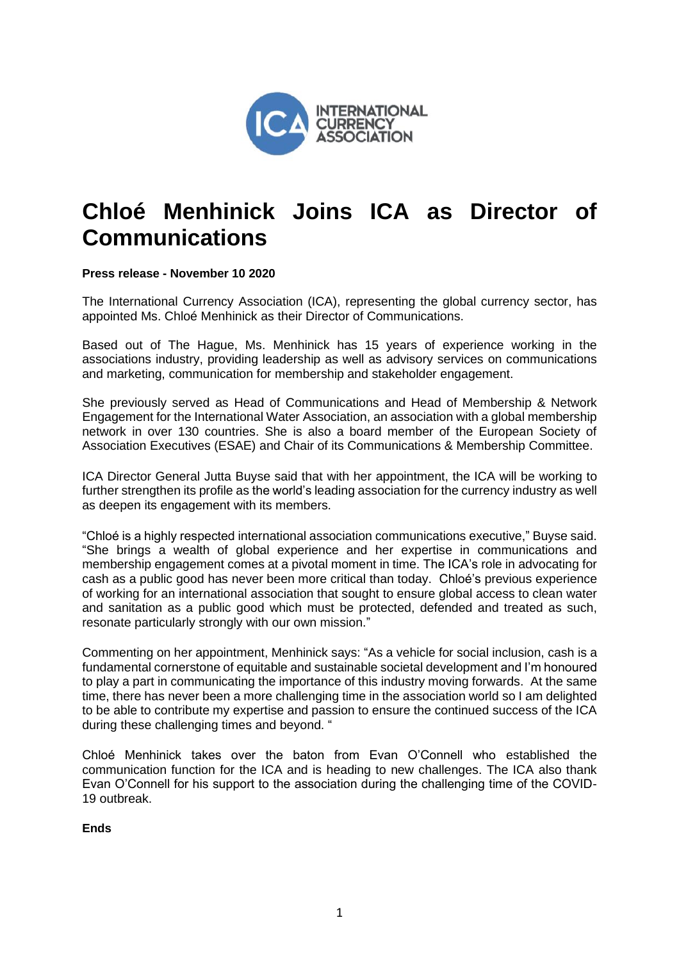

## **Chloé Menhinick Joins ICA as Director of Communications**

## **Press release - November 10 2020**

The International Currency Association (ICA), representing the global currency sector, has appointed Ms. Chloé Menhinick as their Director of Communications.

Based out of The Hague, Ms. Menhinick has 15 years of experience working in the associations industry, providing leadership as well as advisory services on communications and marketing, communication for membership and stakeholder engagement.

She previously served as Head of Communications and Head of Membership & Network Engagement for the International Water Association, an association with a global membership network in over 130 countries. She is also a board member of the European Society of Association Executives (ESAE) and Chair of its Communications & Membership Committee.

ICA Director General Jutta Buyse said that with her appointment, the ICA will be working to further strengthen its profile as the world's leading association for the currency industry as well as deepen its engagement with its members.

"Chloé is a highly respected international association communications executive," Buyse said. "She brings a wealth of global experience and her expertise in communications and membership engagement comes at a pivotal moment in time. The ICA's role in advocating for cash as a public good has never been more critical than today. Chloé's previous experience of working for an international association that sought to ensure global access to clean water and sanitation as a public good which must be protected, defended and treated as such, resonate particularly strongly with our own mission."

Commenting on her appointment, Menhinick says: "As a vehicle for social inclusion, cash is a fundamental cornerstone of equitable and sustainable societal development and I'm honoured to play a part in communicating the importance of this industry moving forwards. At the same time, there has never been a more challenging time in the association world so I am delighted to be able to contribute my expertise and passion to ensure the continued success of the ICA during these challenging times and beyond. "

Chloé Menhinick takes over the baton from Evan O'Connell who established the communication function for the ICA and is heading to new challenges. The ICA also thank Evan O'Connell for his support to the association during the challenging time of the COVID-19 outbreak.

**Ends**